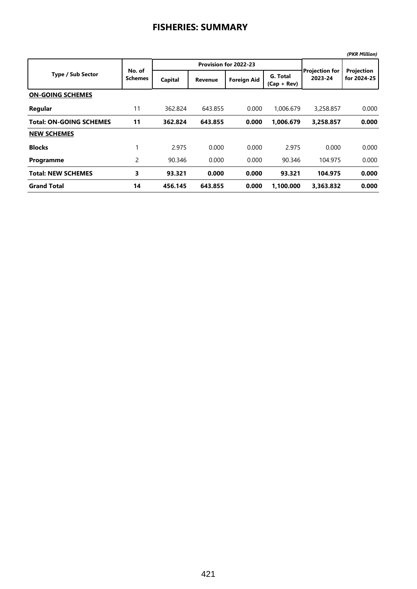## **FISHERIES: SUMMARY**

|                                |                          |         |                       |                    |                           |                                  | (PKR Million)             |
|--------------------------------|--------------------------|---------|-----------------------|--------------------|---------------------------|----------------------------------|---------------------------|
| <b>Type / Sub Sector</b>       | No. of<br><b>Schemes</b> |         | Provision for 2022-23 |                    |                           |                                  |                           |
|                                |                          | Capital | <b>Revenue</b>        | <b>Foreign Aid</b> | G. Total<br>$(Cap + Rev)$ | <b>Projection for</b><br>2023-24 | Projection<br>for 2024-25 |
| <b>ON-GOING SCHEMES</b>        |                          |         |                       |                    |                           |                                  |                           |
| Regular                        | 11                       | 362.824 | 643.855               | 0.000              | 1.006.679                 | 3,258.857                        | 0.000                     |
| <b>Total: ON-GOING SCHEMES</b> | 11                       | 362.824 | 643.855               | 0.000              | 1.006.679                 | 3.258.857                        | 0.000                     |
| <b>NEW SCHEMES</b>             |                          |         |                       |                    |                           |                                  |                           |
| <b>Blocks</b>                  | 1                        | 2.975   | 0.000                 | 0.000              | 2.975                     | 0.000                            | 0.000                     |
| Programme                      | 2                        | 90.346  | 0.000                 | 0.000              | 90.346                    | 104.975                          | 0.000                     |
| <b>Total: NEW SCHEMES</b>      | 3                        | 93.321  | 0.000                 | 0.000              | 93.321                    | 104.975                          | 0.000                     |
| <b>Grand Total</b>             | 14                       | 456.145 | 643.855               | 0.000              | 1.100.000                 | 3.363.832                        | 0.000                     |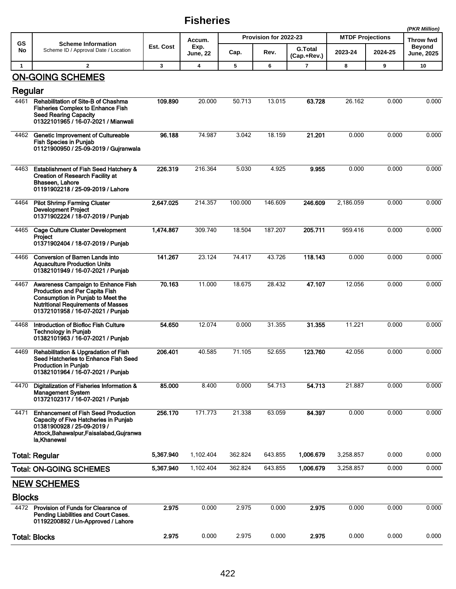## **Fisheries**

|                       |                                                                                                                                                                                             |           |                                   |                       |         |                               |                         | (PKR Million) |                                    |
|-----------------------|---------------------------------------------------------------------------------------------------------------------------------------------------------------------------------------------|-----------|-----------------------------------|-----------------------|---------|-------------------------------|-------------------------|---------------|------------------------------------|
| GS                    | <b>Scheme Information</b><br>Scheme ID / Approval Date / Location                                                                                                                           | Est. Cost | Accum.<br>Exp.<br><b>June, 22</b> | Provision for 2022-23 |         |                               | <b>MTDF Projections</b> |               | Throw fwd                          |
| No                    |                                                                                                                                                                                             |           |                                   | Cap.                  | Rev.    | <b>G.Total</b><br>(Cap.+Rev.) | 2023-24                 | 2024-25       | <b>Beyond</b><br><b>June, 2025</b> |
| $\mathbf{1}$          | $\overline{2}$                                                                                                                                                                              | 3         | $\overline{\mathbf{4}}$           | 5                     | 6       | $\overline{\phantom{a}}$      | 8                       | 9             | 10                                 |
|                       | <b>ON-GOING SCHEMES</b>                                                                                                                                                                     |           |                                   |                       |         |                               |                         |               |                                    |
| Regular               |                                                                                                                                                                                             |           |                                   |                       |         |                               |                         |               |                                    |
| 4461                  | Rehabilitation of Site-B of Chashma<br><b>Fisheries Complex to Enhance Fish</b><br><b>Seed Rearing Capacity</b><br>01322101965 / 16-07-2021 / Mianwali                                      | 109.890   | 20.000                            | 50.713                | 13.015  | 63.728                        | 26.162                  | 0.000         | 0.000                              |
| 4462                  | Genetic Improvement of Cultureable<br><b>Fish Species in Punjab</b><br>01121900950 / 25-09-2019 / Gujranwala                                                                                | 96.188    | 74.987                            | 3.042                 | 18.159  | 21.201                        | 0.000                   | 0.000         | 0.000                              |
| 4463                  | <b>Establishment of Fish Seed Hatchery &amp;</b><br><b>Creation of Research Facility at</b><br>Bhaseen, Lahore<br>01191902218 / 25-09-2019 / Lahore                                         | 226.319   | 216.364                           | 5.030                 | 4.925   | 9.955                         | 0.000                   | 0.000         | 0.000                              |
| 4464                  | <b>Pilot Shrimp Farming Cluster</b><br><b>Development Project</b><br>01371902224 / 18-07-2019 / Punjab                                                                                      | 2,647.025 | 214.357                           | 100.000               | 146.609 | 246.609                       | 2,186.059               | 0.000         | 0.000                              |
| 4465                  | Cage Culture Cluster Development<br>Project<br>01371902404 / 18-07-2019 / Punjab                                                                                                            | 1,474.867 | 309.740                           | 18.504                | 187.207 | 205.711                       | 959.416                 | 0.000         | 0.000                              |
| 4466                  | <b>Conversion of Barren Lands into</b><br><b>Aquaculture Production Units</b><br>01382101949 / 16-07-2021 / Punjab                                                                          | 141.267   | 23.124                            | 74.417                | 43.726  | 118.143                       | 0.000                   | 0.000         | 0.000                              |
| 4467                  | Awareness Campaign to Enhance Fish<br>Production and Per Capita Fish<br>Consumption in Punjab to Meet the<br><b>Nutritional Requirements of Masses</b><br>01372101958 / 16-07-2021 / Punjab | 70.163    | 11.000                            | 18.675                | 28.432  | 47.107                        | 12.056                  | 0.000         | 0.000                              |
| 4468                  | Introduction of Biofloc Fish Culture<br><b>Technology in Punjab</b><br>01382101963 / 16-07-2021 / Punjab                                                                                    | 54.650    | 12.074                            | 0.000                 | 31.355  | 31.355                        | 11.221                  | 0.000         | 0.000                              |
| 4469                  | Rehabilitation & Upgradation of Fish<br>Seed Hatcheries to Enhance Fish Seed<br><b>Production in Punjab</b><br>01382101964 / 16-07-2021 / Punjab                                            | 206.401   | 40.585                            | 71.105                | 52.655  | 123.760                       | 42.056                  | 0.000         | 0.000                              |
| 4470                  | Digitalization of Fisheries Information &<br><b>Management System</b><br>01372102317 / 16-07-2021 / Punjab                                                                                  | 85.000    | 8.400                             | 0.000                 | 54.713  | 54.713                        | 21.887                  | 0.000         | 0.000                              |
| 4471                  | <b>Enhancement of Fish Seed Production</b><br>Capacity of Five Hatcheries in Punjab<br>01381900928 / 25-09-2019 /<br>Attock, Bahawalpur, Faisalabad, Gujranwa<br>la Khanewal                | 256.170   | 171.773                           | 21.338                | 63.059  | 84.397                        | 0.000                   | 0.000         | 0.000                              |
|                       | <b>Total: Regular</b>                                                                                                                                                                       | 5,367.940 | 1,102.404                         | 362.824               | 643.855 | 1,006.679                     | 3,258.857               | 0.000         | 0.000                              |
|                       | <b>Total: ON-GOING SCHEMES</b>                                                                                                                                                              | 5,367.940 | 1,102.404                         | 362.824               | 643.855 | 1,006.679                     | 3,258.857               | 0.000         | 0.000                              |
|                       | <b>NEW SCHEMES</b>                                                                                                                                                                          |           |                                   |                       |         |                               |                         |               |                                    |
| <b>Blocks</b><br>4472 | Provision of Funds for Clearance of<br>Pending Liabilities and Court Cases.<br>01192200892 / Un-Approved / Lahore                                                                           | 2.975     | 0.000                             | 2.975                 | 0.000   | 2.975                         | 0.000                   | 0.000         | 0.000                              |
|                       | <b>Total: Blocks</b>                                                                                                                                                                        | 2.975     | 0.000                             | 2.975                 | 0.000   | 2.975                         | 0.000                   | 0.000         | 0.000                              |